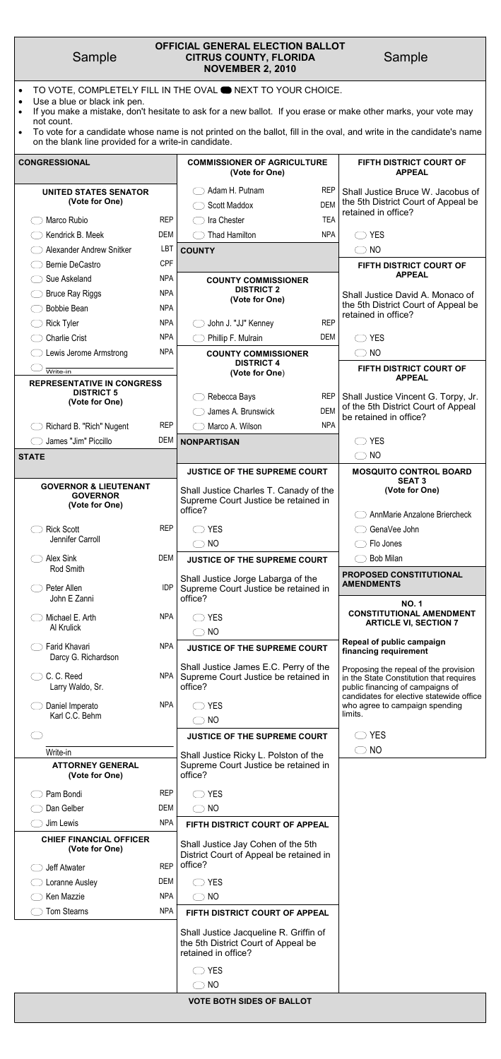| Sample |  |
|--------|--|
|        |  |

# Sample **CITRUS COUNTY, FLORIDA** Sample **OFFICIAL GENERAL ELECTION BALLOT NOVEMBER 2, 2010**

- TO VOTE, COMPLETELY FILL IN THE OVAL **ONEXT TO YOUR CHOICE.**
- Use a blue or black ink pen.
- If you make a mistake, don't hesitate to ask for a new ballot. If you erase or make other marks, your vote may not count.
- $\bullet$  To vote for a candidate whose name is not printed on the ballot, fill in the oval, and write in the candidate's name on the blank line provided for a write-in candidate.

| <b>CONGRESSIONAL</b>                                                  |            | <b>COMMISSIONER OF AGRICULTURE</b><br>(Vote for One)                                      |                          | <b>FIFTH DISTRICT COURT OF</b><br><b>APPEAL</b>                                                                                                                  |
|-----------------------------------------------------------------------|------------|-------------------------------------------------------------------------------------------|--------------------------|------------------------------------------------------------------------------------------------------------------------------------------------------------------|
| <b>UNITED STATES SENATOR</b><br>(Vote for One)                        |            | Adam H. Putnam<br>Scott Maddox                                                            | <b>REP</b><br><b>DEM</b> | Shall Justice Bruce W. Jacobus of<br>the 5th District Court of Appeal be<br>retained in office?                                                                  |
| Marco Rubio                                                           | <b>REP</b> | Ira Chester                                                                               | <b>TEA</b>               |                                                                                                                                                                  |
| Kendrick B. Meek                                                      | <b>DEM</b> | <b>Thad Hamilton</b>                                                                      | <b>NPA</b>               | <b>YES</b>                                                                                                                                                       |
| Alexander Andrew Snitker                                              | LBT        | <b>COUNTY</b>                                                                             |                          | <b>NO</b>                                                                                                                                                        |
| <b>Bernie DeCastro</b>                                                | <b>CPF</b> |                                                                                           |                          | FIFTH DISTRICT COURT OF                                                                                                                                          |
| Sue Askeland                                                          | <b>NPA</b> | <b>COUNTY COMMISSIONER</b>                                                                |                          | <b>APPEAL</b>                                                                                                                                                    |
| <b>Bruce Ray Riggs</b>                                                | <b>NPA</b> | <b>DISTRICT 2</b><br>(Vote for One)                                                       |                          | Shall Justice David A. Monaco of                                                                                                                                 |
| <b>Bobbie Bean</b>                                                    | <b>NPA</b> |                                                                                           |                          | the 5th District Court of Appeal be<br>retained in office?                                                                                                       |
| <b>Rick Tyler</b>                                                     | <b>NPA</b> | John J. "JJ" Kenney                                                                       | <b>REP</b>               |                                                                                                                                                                  |
| <b>Charlie Crist</b>                                                  | <b>NPA</b> | Phillip F. Mulrain                                                                        | <b>DEM</b>               | <b>YES</b>                                                                                                                                                       |
| Lewis Jerome Armstrong                                                | <b>NPA</b> | <b>COUNTY COMMISSIONER</b>                                                                |                          | NO                                                                                                                                                               |
| Write-in                                                              |            | <b>DISTRICT 4</b><br>(Vote for One)                                                       |                          | FIFTH DISTRICT COURT OF                                                                                                                                          |
| <b>REPRESENTATIVE IN CONGRESS</b>                                     |            |                                                                                           |                          | <b>APPEAL</b>                                                                                                                                                    |
| <b>DISTRICT 5</b><br>(Vote for One)                                   |            | Rebecca Bays                                                                              | <b>REP</b>               | Shall Justice Vincent G. Torpy, Jr.                                                                                                                              |
|                                                                       |            | James A. Brunswick                                                                        | <b>DEM</b>               | of the 5th District Court of Appeal                                                                                                                              |
| Richard B. "Rich" Nugent                                              | <b>REP</b> | Marco A. Wilson                                                                           | <b>NPA</b>               | be retained in office?                                                                                                                                           |
| James "Jim" Piccillo                                                  | <b>DEM</b> | <b>NONPARTISAN</b>                                                                        |                          | <b>YES</b>                                                                                                                                                       |
| STATE                                                                 |            |                                                                                           |                          | <b>NO</b>                                                                                                                                                        |
|                                                                       |            |                                                                                           |                          |                                                                                                                                                                  |
|                                                                       |            | <b>JUSTICE OF THE SUPREME COURT</b>                                                       |                          | <b>MOSQUITO CONTROL BOARD</b>                                                                                                                                    |
| <b>GOVERNOR &amp; LIEUTENANT</b><br><b>GOVERNOR</b><br>(Vote for One) |            | Shall Justice Charles T. Canady of the<br>Supreme Court Justice be retained in<br>office? |                          | <b>SEAT 3</b><br>(Vote for One)                                                                                                                                  |
|                                                                       |            |                                                                                           |                          | AnnMarie Anzalone Briercheck                                                                                                                                     |
| <b>Rick Scott</b><br>Jennifer Carroll                                 | <b>REP</b> | <b>YES</b>                                                                                |                          | GenaVee John                                                                                                                                                     |
|                                                                       |            | <b>NO</b>                                                                                 |                          | Flo Jones                                                                                                                                                        |
| <b>Alex Sink</b><br>Rod Smith                                         | <b>DEM</b> | <b>JUSTICE OF THE SUPREME COURT</b>                                                       |                          | <b>Bob Milan</b>                                                                                                                                                 |
| Peter Allen                                                           | <b>IDP</b> | Shall Justice Jorge Labarga of the<br>Supreme Court Justice be retained in                |                          | PROPOSED CONSTITUTIONAL<br><b>AMENDMENTS</b>                                                                                                                     |
| John E Zanni<br>Michael E. Arth                                       | <b>NPA</b> | office?<br><b>YES</b>                                                                     |                          | <b>NO.1</b><br><b>CONSTITUTIONAL AMENDMENT</b>                                                                                                                   |
| Al Krulick                                                            |            | <b>NO</b>                                                                                 |                          | <b>ARTICLE VI, SECTION 7</b>                                                                                                                                     |
| Farid Khavari<br>Darcy G. Richardson                                  | <b>NPA</b> | <b>JUSTICE OF THE SUPREME COURT</b>                                                       |                          | Repeal of public campaign<br>financing requirement                                                                                                               |
| C.C. Reed<br>Larry Waldo, Sr.                                         | <b>NPA</b> | Shall Justice James E.C. Perry of the<br>Supreme Court Justice be retained in<br>office?  |                          | Proposing the repeal of the provision<br>in the State Constitution that requires<br>public financing of campaigns of<br>candidates for elective statewide office |
| Daniel Imperato<br>Karl C.C. Behm                                     | <b>NPA</b> | <b>YES</b><br><b>NO</b>                                                                   |                          | who agree to campaign spending<br>limits.                                                                                                                        |
|                                                                       |            | <b>JUSTICE OF THE SUPREME COURT</b>                                                       |                          | <b>YES</b>                                                                                                                                                       |
| Write-in                                                              |            | Shall Justice Ricky L. Polston of the                                                     |                          | NO                                                                                                                                                               |

| (Vote for One)                                   |            | office?                                                                                              |
|--------------------------------------------------|------------|------------------------------------------------------------------------------------------------------|
| Pam Bondi                                        | <b>REP</b> | <b>YES</b><br>$\hat{ }$                                                                              |
| Dan Gelber                                       | DEM        | NO<br>$\rightarrow$                                                                                  |
| Jim Lewis                                        | <b>NPA</b> | FIFTH DISTRICT COURT OF APPEAL                                                                       |
| <b>CHIEF FINANCIAL OFFICER</b><br>(Vote for One) |            | Shall Justice Jay Cohen of the 5th<br>District Court of Appeal be retained in                        |
| Jeff Atwater                                     | <b>REP</b> | office?                                                                                              |
| Loranne Ausley                                   | DEM        | <b>YES</b>                                                                                           |
| Ken Mazzie                                       | <b>NPA</b> | NO.                                                                                                  |
| <b>Tom Stearns</b>                               | <b>NPA</b> | FIFTH DISTRICT COURT OF APPEAL                                                                       |
|                                                  |            | Shall Justice Jacqueline R. Griffin of<br>the 5th District Court of Appeal be<br>retained in office? |
|                                                  |            | <b>YES</b>                                                                                           |
|                                                  |            | NO                                                                                                   |
|                                                  |            | <b>VOTE BOTH SIDES OF BALLOT</b>                                                                     |
|                                                  |            |                                                                                                      |